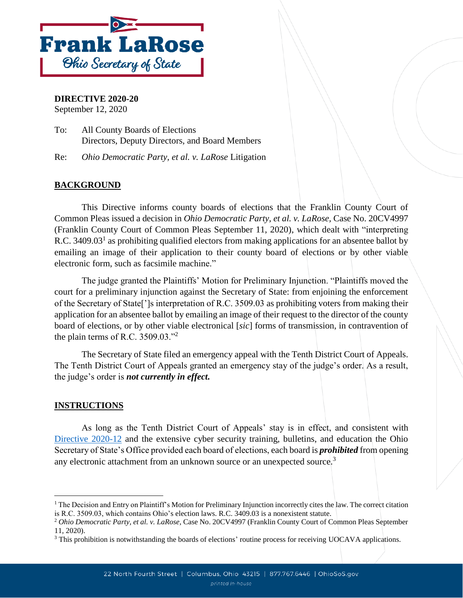

## **DIRECTIVE 2020-20**

September 12, 2020

To: All County Boards of Elections Directors, Deputy Directors, and Board Members

Re: *Ohio Democratic Party, et al. v. LaRose* Litigation

## **BACKGROUND**

This Directive informs county boards of elections that the Franklin County Court of Common Pleas issued a decision in *Ohio Democratic Party, et al. v. LaRose,* Case No. 20CV4997 (Franklin County Court of Common Pleas September 11, 2020), which dealt with "interpreting R.C. 3409.03<sup>1</sup> as prohibiting qualified electors from making applications for an absentee ballot by emailing an image of their application to their county board of elections or by other viable electronic form, such as facsimile machine."

The judge granted the Plaintiffs' Motion for Preliminary Injunction. "Plaintiffs moved the court for a preliminary injunction against the Secretary of State: from enjoining the enforcement of the Secretary of State[']s interpretation of R.C. 3509.03 as prohibiting voters from making their application for an absentee ballot by emailing an image of their request to the director of the county board of elections, or by other viable electronical [*sic*] forms of transmission, in contravention of the plain terms of R.C.  $3509.03.^{n}$ 

The Secretary of State filed an emergency appeal with the Tenth District Court of Appeals. The Tenth District Court of Appeals granted an emergency stay of the judge's order. As a result, the judge's order is *not currently in effect.*

## **INSTRUCTIONS**

l

As long as the Tenth District Court of Appeals' stay is in effect, and consistent with [Directive 2020-12](https://www.ohiosos.gov/globalassets/elections/directives/2020/dir2020-12.pdf) and the extensive cyber security training, bulletins, and education the Ohio Secretary of State's Office provided each board of elections, each board is *prohibited* from opening any electronic attachment from an unknown source or an unexpected source.<sup>3</sup>

<sup>&</sup>lt;sup>1</sup> The Decision and Entry on Plaintiff's Motion for Preliminary Injunction incorrectly cites the law. The correct citation is R.C. 3509.03, which contains Ohio's election laws. R.C. 3409.03 is a nonexistent statute.

<sup>2</sup> *Ohio Democratic Party, et al. v. LaRose,* Case No. 20CV4997 (Franklin County Court of Common Pleas September 11, 2020).

<sup>&</sup>lt;sup>3</sup> This prohibition is notwithstanding the boards of elections' routine process for receiving UOCAVA applications.